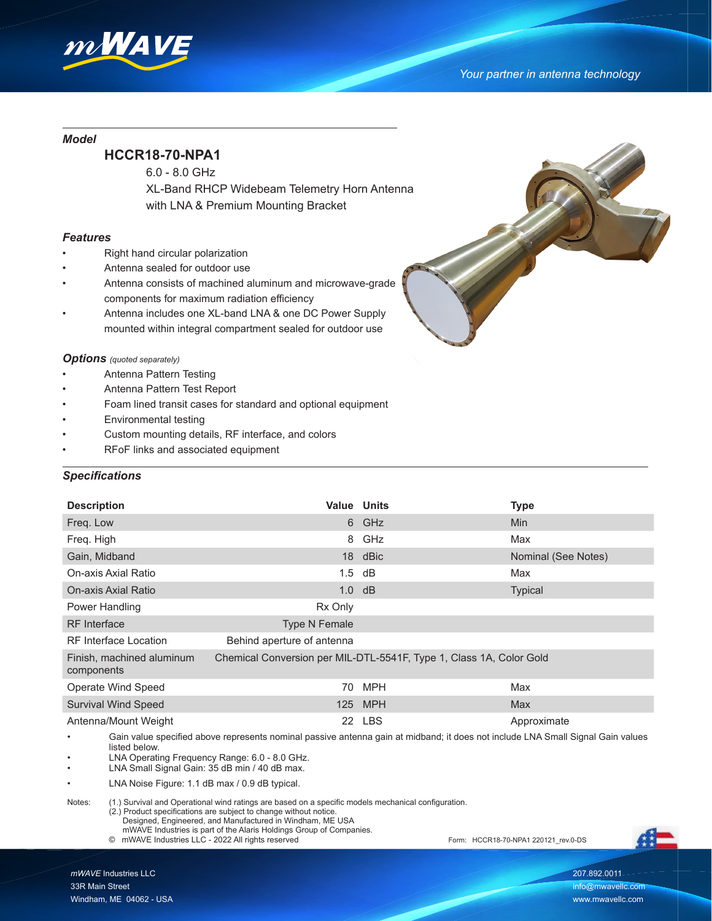

### *Model*

# **HCCR18-70-NPA1**

6.0 - 8.0 GHz

 XL-Band RHCP Widebeam Telemetry Horn Antenna with LNA & Premium Mounting Bracket

#### *Features*

- Right hand circular polarization
- Antenna sealed for outdoor use
- Antenna consists of machined aluminum and microwave-grade components for maximum radiation efficiency
- Antenna includes one XL-band LNA & one DC Power Supply mounted within integral compartment sealed for outdoor use

#### *Options (quoted separately)*

- Antenna Pattern Testing
- Antenna Pattern Test Report
- Foam lined transit cases for standard and optional equipment
- Environmental testing
- Custom mounting details, RF interface, and colors
- RFoF links and associated equipment

## *Specifications*

 $\overline{a}$ 

| <b>Description</b>                                                                                                              | <b>Value Units</b>         |                                                                     | <b>Type</b>         |
|---------------------------------------------------------------------------------------------------------------------------------|----------------------------|---------------------------------------------------------------------|---------------------|
| Freq. Low                                                                                                                       |                            | 6 GHz                                                               | <b>Min</b>          |
| Freq. High                                                                                                                      |                            | 8 GHz                                                               | Max                 |
| Gain, Midband                                                                                                                   |                            | 18 dBic                                                             | Nominal (See Notes) |
| On-axis Axial Ratio                                                                                                             | $1.5$ dB                   |                                                                     | Max                 |
| On-axis Axial Ratio                                                                                                             | $1.0$ dB                   |                                                                     | <b>Typical</b>      |
| Power Handling                                                                                                                  | Rx Only                    |                                                                     |                     |
| <b>RF</b> Interface                                                                                                             | Type N Female              |                                                                     |                     |
| <b>RF</b> Interface Location                                                                                                    | Behind aperture of antenna |                                                                     |                     |
| Finish, machined aluminum<br>components                                                                                         |                            | Chemical Conversion per MIL-DTL-5541F, Type 1, Class 1A, Color Gold |                     |
| <b>Operate Wind Speed</b>                                                                                                       | 70                         | <b>MPH</b>                                                          | Max                 |
| <b>Survival Wind Speed</b>                                                                                                      |                            | 125 MPH                                                             | Max                 |
| Antenna/Mount Weight                                                                                                            |                            | 22 LBS                                                              | Approximate         |
| Cain uglus ansaified abous represente naminal pessius aptappe asin et midhand, it dess not include LNA Cmall Cianal Cain values |                            |                                                                     |                     |

Gain value specified above represents nominal passive antenna gain at midband; it does not include LNA Small Signal Gain values listed below.

- LNA Operating Frequency Range: 6.0 8.0 GHz.
- LNA Small Signal Gain: 35 dB min / 40 dB max.
- LNA Noise Figure: 1.1 dB max / 0.9 dB typical.

Notes: (1.) Survival and Operational wind ratings are based on a specific models mechanical configuration.

- (2.) Product specifications are subject to change without notice.
- Designed, Engineered, and Manufactured in Windham, ME USA
- mWAVE Industries is part of the Alaris Holdings Group of Companies.

© mWAVE Industries LLC - 2022 All rights reserved Form: HCCR18-70-NPA1 220121\_rev.0-DS